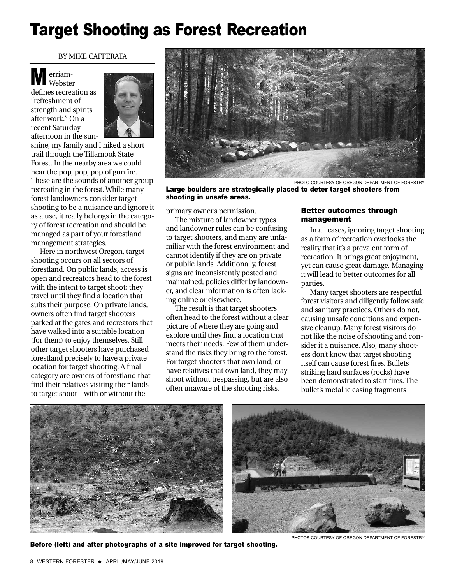# Target Shooting as Forest Recreation

#### BY MIKE CAFFERATA

erriam-Webster defines recreation as "refreshment of strength and spirits M

after work." On a recent Saturday afternoon in the sun-



shine, my family and I hiked a short trail through the Tillamook State Forest. In the nearby area we could hear the pop, pop, pop of gunfire. These are the sounds of another group recreating in the forest. While many forest landowners consider target shooting to be a nuisance and ignore it as a use, it really belongs in the category of forest recreation and should be managed as part of your forestland management strategies.

Here in northwest Oregon, target shooting occurs on all sectors of forestland. On public lands, access is open and recreators head to the forest with the intent to target shoot; they travel until they find a location that suits their purpose. On private lands, owners often find target shooters parked at the gates and recreators that have walked into a suitable location (for them) to enjoy themselves. Still other target shooters have purchased forestland precisely to have a private location for target shooting. A final category are owners of forestland that find their relatives visiting their lands to target shoot—with or without the



PHOTO COURTESY OF OREGON DEPARTMENT OF FORESTRY

Large boulders are strategically placed to deter target shooters from shooting in unsafe areas.

primary owner's permission.

The mixture of landowner types and landowner rules can be confusing to target shooters, and many are unfamiliar with the forest environment and cannot identify if they are on private or public lands. Additionally, forest signs are inconsistently posted and maintained, policies differ by landowner, and clear information is often lacking online or elsewhere.

The result is that target shooters often head to the forest without a clear picture of where they are going and explore until they find a location that meets their needs. Few of them understand the risks they bring to the forest. For target shooters that own land, or have relatives that own land, they may shoot without trespassing, but are also often unaware of the shooting risks.

### Better outcomes through management

In all cases, ignoring target shooting as a form of recreation overlooks the reality that it's a prevalent form of recreation. It brings great enjoyment, yet can cause great damage. Managing it will lead to better outcomes for all parties.

Many target shooters are respectful forest visitors and diligently follow safe and sanitary practices. Others do not, causing unsafe conditions and expensive cleanup. Many forest visitors do not like the noise of shooting and consider it a nuisance. Also, many shooters don't know that target shooting itself can cause forest fires. Bullets striking hard surfaces (rocks) have been demonstrated to start fires. The bullet's metallic casing fragments





Before (left) and after photographs of a site improved for target shooting.

PHOTOS COURTESY OF OREGON DEPARTMENT OF FORESTRY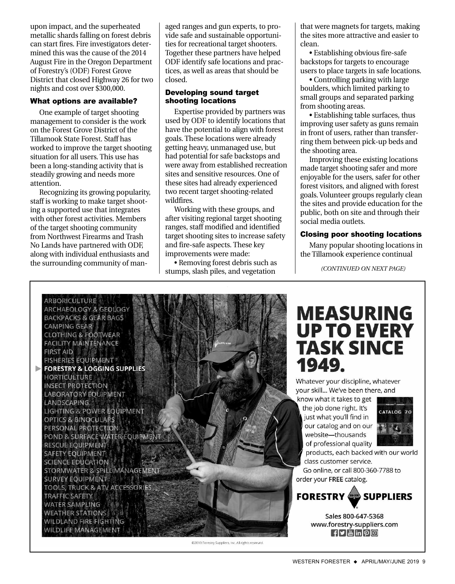upon impact, and the superheated metallic shards falling on forest debris can start fires. Fire investigators determined this was the cause of the 2014 August Fire in the Oregon Department of Forestry's (ODF) Forest Grove District that closed Highway 26 for two nights and cost over \$300,000.

### What options are available?

One example of target shooting management to consider is the work on the Forest Grove District of the Tillamook State Forest. Staff has worked to improve the target shooting situation for all users. This use has been a long-standing activity that is steadily growing and needs more attention.

Recognizing its growing popularity, staff is working to make target shooting a supported use that integrates with other forest activities. Members of the target shooting community from Northwest Firearms and Trash No Lands have partnered with ODF, along with individual enthusiasts and the surrounding community of managed ranges and gun experts, to provide safe and sustainable opportunities for recreational target shooters. Together these partners have helped ODF identify safe locations and practices, as well as areas that should be closed.

## Developing sound target shooting locations

Expertise provided by partners was used by ODF to identify locations that have the potential to align with forest goals. These locations were already getting heavy, unmanaged use, but had potential for safe backstops and were away from established recreation sites and sensitive resources. One of these sites had already experienced two recent target shooting-related wildfires.

Working with these groups, and after visiting regional target shooting ranges, staff modified and identified target shooting sites to increase safety and fire-safe aspects. These key improvements were made:

• Removing forest debris such as stumps, slash piles, and vegetation

that were magnets for targets, making the sites more attractive and easier to clean.

• Establishing obvious fire-safe backstops for targets to encourage users to place targets in safe locations.

• Controlling parking with large boulders, which limited parking to small groups and separated parking from shooting areas.

• Establishing table surfaces, thus improving user safety as guns remain in front of users, rather than transferring them between pick-up beds and the shooting area.

Improving these existing locations made target shooting safer and more enjoyable for the users, safer for other forest visitors, and aligned with forest goals. Volunteer groups regularly clean the sites and provide education for the public, both on site and through their social media outlets.

## Closing poor shooting locations

Many popular shooting locations in the Tillamook experience continual

*(CONTINUED ON NEXT PAGE)*



@2019 Forestry Suppliers, Inc. All rights reserved

# **MEASURING UP TO EVERY TASK SINCE** 1949.

Whatever your discipline, whatever your skill... We've been there, and

know what it takes to get the job done right. It's just what you'll find in our catalog and on our website-thousands of professional quality



products, each backed with our world class customer service. Go online, or call 800-360-7788 to

order your FREE catalog.



Sales 800-647-5368 www.forestry-suppliers.com  $\mathbf{f}$   $\mathbf{F}$   $\mathbf{F}$   $\mathbf{m}$   $\mathbf{p}$   $\mathbf{r}$